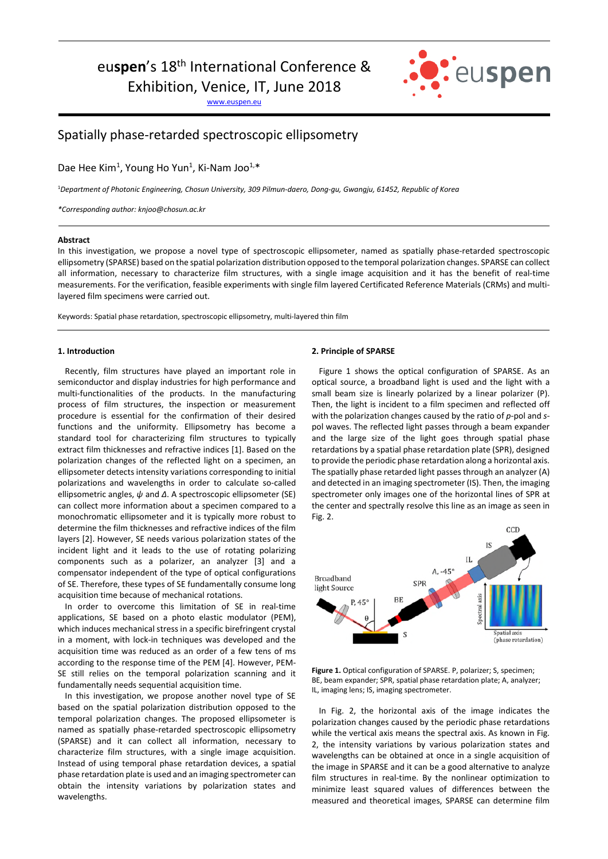# euspen's 18<sup>th</sup> International Conference &

Exhibition, Venice, IT, June 2018

www.euspen.eu



# Spatially phase-retarded spectroscopic ellipsometry

Dae Hee Kim<sup>1</sup>, Young Ho Yun<sup>1</sup>, Ki-Nam Joo<sup>1,\*</sup>

<sup>1</sup>*Department of Photonic Engineering, Chosun University, 309 Pilmun-daero, Dong-gu, Gwangju, 61452, Republic of Korea* 

*\*Corresponding author: knjoo@chosun.ac.kr*

# **Abstract**

In this investigation, we propose a novel type of spectroscopic ellipsometer, named as spatially phase-retarded spectroscopic ellipsometry (SPARSE) based on the spatial polarization distribution opposed to the temporal polarization changes. SPARSE can collect all information, necessary to characterize film structures, with a single image acquisition and it has the benefit of real-time measurements. For the verification, feasible experiments with single film layered Certificated Reference Materials (CRMs) and multilayered film specimens were carried out.

Keywords: Spatial phase retardation, spectroscopic ellipsometry, multi-layered thin film

## **1. Introduction**

Recently, film structures have played an important role in semiconductor and display industries for high performance and multi-functionalities of the products. In the manufacturing process of film structures, the inspection or measurement procedure is essential for the confirmation of their desired functions and the uniformity. Ellipsometry has become a standard tool for characterizing film structures to typically extract film thicknesses and refractive indices [1]. Based on the polarization changes of the reflected light on a specimen, an ellipsometer detects intensity variations corresponding to initial polarizations and wavelengths in order to calculate so-called ellipsometric angles, *ψ* and *Δ*. A spectroscopic ellipsometer (SE) can collect more information about a specimen compared to a monochromatic ellipsometer and it is typically more robust to determine the film thicknesses and refractive indices of the film layers [2]. However, SE needs various polarization states of the incident light and it leads to the use of rotating polarizing components such as a polarizer, an analyzer [3] and a compensator independent of the type of optical configurations of SE. Therefore, these types of SE fundamentally consume long acquisition time because of mechanical rotations.

In order to overcome this limitation of SE in real-time applications, SE based on a photo elastic modulator (PEM), which induces mechanical stress in a specific birefringent crystal in a moment, with lock-in techniques was developed and the acquisition time was reduced as an order of a few tens of ms according to the response time of the PEM [4]. However, PEM-SE still relies on the temporal polarization scanning and it fundamentally needs sequential acquisition time.

In this investigation, we propose another novel type of SE based on the spatial polarization distribution opposed to the temporal polarization changes. The proposed ellipsometer is named as spatially phase-retarded spectroscopic ellipsometry (SPARSE) and it can collect all information, necessary to characterize film structures, with a single image acquisition. Instead of using temporal phase retardation devices, a spatial phase retardation plate is used and an imaging spectrometer can obtain the intensity variations by polarization states and wavelengths.

#### **2. Principle of SPARSE**

Figure 1 shows the optical configuration of SPARSE. As an optical source, a broadband light is used and the light with a small beam size is linearly polarized by a linear polarizer (P). Then, the light is incident to a film specimen and reflected off with the polarization changes caused by the ratio of *p*-pol and *s*pol waves. The reflected light passes through a beam expander and the large size of the light goes through spatial phase retardations by a spatial phase retardation plate (SPR), designed to provide the periodic phase retardation along a horizontal axis. The spatially phase retarded light passes through an analyzer (A) and detected in an imaging spectrometer (IS). Then, the imaging spectrometer only images one of the horizontal lines of SPR at the center and spectrally resolve this line as an image as seen in Fig. 2.



**Figure 1.** Optical configuration of SPARSE. P, polarizer; S, specimen; BE, beam expander; SPR, spatial phase retardation plate; A, analyzer; IL, imaging lens; IS, imaging spectrometer.

In Fig. 2, the horizontal axis of the image indicates the polarization changes caused by the periodic phase retardations while the vertical axis means the spectral axis. As known in Fig. 2, the intensity variations by various polarization states and wavelengths can be obtained at once in a single acquisition of the image in SPARSE and it can be a good alternative to analyze film structures in real-time. By the nonlinear optimization to minimize least squared values of differences between the measured and theoretical images, SPARSE can determine film